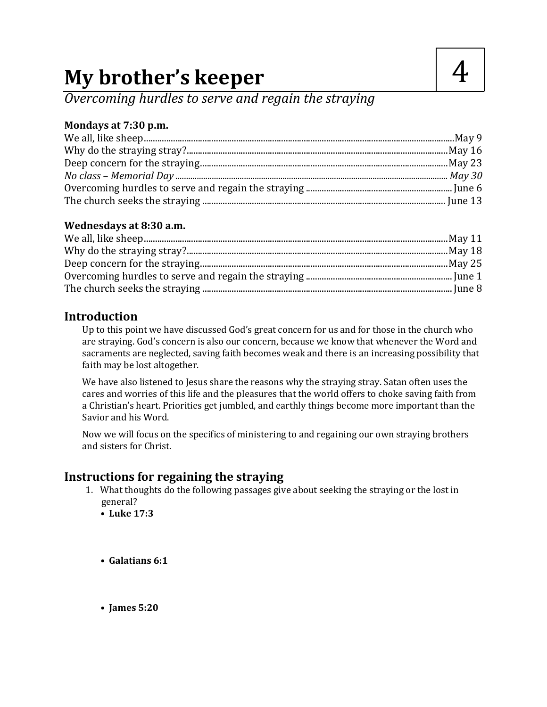# **My brother's keeper**

*Overcoming hurdles to serve and regain the straying*

### **Mondays at 7:30 p.m.**

#### **Wednesdays at 8:30 a.m.**

# **Introduction**

Up to this point we have discussed God's great concern for us and for those in the church who are straying. God's concern is also our concern, because we know that whenever the Word and sacraments are neglected, saving faith becomes weak and there is an increasing possibility that faith may be lost altogether.

We have also listened to Jesus share the reasons why the straying stray. Satan often uses the cares and worries of this life and the pleasures that the world offers to choke saving faith from a Christian's heart. Priorities get jumbled, and earthly things become more important than the Savior and his Word.

Now we will focus on the specifics of ministering to and regaining our own straying brothers and sisters for Christ.

# **Instructions for regaining the straying**

- 1. What thoughts do the following passages give about seeking the straying or the lost in general?
	- **• Luke 17:3**
	- **• Galatians 6:1**
	- **• James 5:20**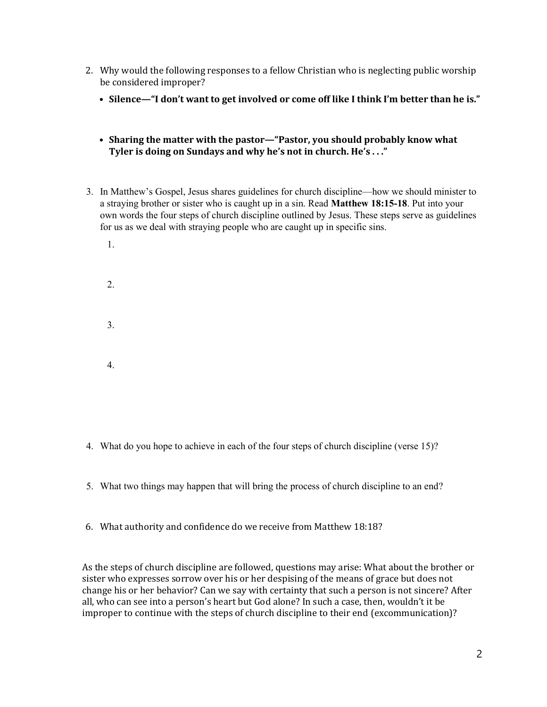- 2. Why would the following responses to a fellow Christian who is neglecting public worship be considered improper?
	- **• Silence—"I don't want to get involved or come off like I think I'm better than he is."**
	- **• Sharing the matter with the pastor—"Pastor, you should probably know what Tyler is doing on Sundays and why he's not in church. He's . . ."**
- 3. In Matthew's Gospel, Jesus shares guidelines for church discipline—how we should minister to a straying brother or sister who is caught up in a sin. Read **Matthew 18:15-18**. Put into your own words the four steps of church discipline outlined by Jesus. These steps serve as guidelines for us as we deal with straying people who are caught up in specific sins.
	- 1. 2. 3. 4.
- 4. What do you hope to achieve in each of the four steps of church discipline (verse 15)?
- 5. What two things may happen that will bring the process of church discipline to an end?
- 6. What authority and confidence do we receive from Matthew 18:18?

As the steps of church discipline are followed, questions may arise: What about the brother or sister who expresses sorrow over his or her despising of the means of grace but does not change his or her behavior? Can we say with certainty that such a person is not sincere? After all, who can see into a person's heart but God alone? In such a case, then, wouldn't it be improper to continue with the steps of church discipline to their end (excommunication)?